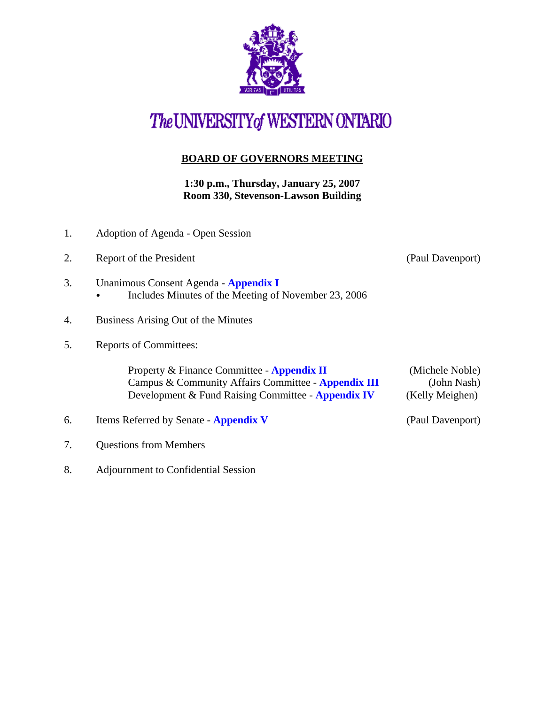

## The UNIVERSITY of WESTERN ONTARIO

## **BOARD OF GOVERNORS MEETING**

**1:30 p.m., Thursday, January 25, 2007 Room 330, Stevenson-Lawson Building**

- 1. Adoption of Agenda Open Session
- 2. Report of the President (Paul Davenport)
- 3. Unanimous Consent Agenda **[Appendix I](http://www.uwo.ca/univsec/board/minutes/2007/r0701consent.pdf)**  • Includes Minutes of the Meeting of November 23, 2006
- 4. Business Arising Out of the Minutes
- 5. Reports of Committees:

Property & Finance Committee - **[Appendix II](http://www.uwo.ca/univsec/board/minutes/2007/r0701pf.pdf)** (Michele Noble) Campus & Community Affairs Committee - **[Appendix III](http://www.uwo.ca/univsec/board/minutes/2007/r0701ccac.pdf)** (John Nash) Development & Fund Raising Committee - **[Appendix IV](http://www.uwo.ca/univsec/board/minutes/2007/r0701dfr.pdf)** (Kelly Meighen)

- 6. Items Referred by Senate **[Appendix V](http://www.uwo.ca/univsec/board/minutes/2007/r0701sen.pdf)** (Paul Davenport)
- 7. Questions from Members
- 8. Adjournment to Confidential Session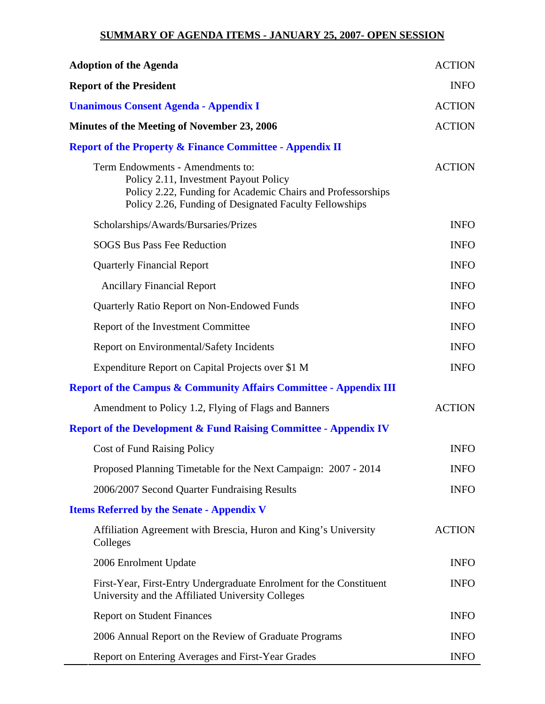## **SUMMARY OF AGENDA ITEMS - JANUARY 25, 2007- OPEN SESSION**

| <b>Adoption of the Agenda</b>                                                                                                                                                                      | <b>ACTION</b> |
|----------------------------------------------------------------------------------------------------------------------------------------------------------------------------------------------------|---------------|
| <b>Report of the President</b>                                                                                                                                                                     | <b>INFO</b>   |
| <b>Unanimous Consent Agenda - Appendix I</b>                                                                                                                                                       | <b>ACTION</b> |
| Minutes of the Meeting of November 23, 2006                                                                                                                                                        | <b>ACTION</b> |
| <b>Report of the Property &amp; Finance Committee - Appendix II</b>                                                                                                                                |               |
| Term Endowments - Amendments to:<br>Policy 2.11, Investment Payout Policy<br>Policy 2.22, Funding for Academic Chairs and Professorships<br>Policy 2.26, Funding of Designated Faculty Fellowships | <b>ACTION</b> |
| Scholarships/Awards/Bursaries/Prizes                                                                                                                                                               | <b>INFO</b>   |
| <b>SOGS Bus Pass Fee Reduction</b>                                                                                                                                                                 | <b>INFO</b>   |
| <b>Quarterly Financial Report</b>                                                                                                                                                                  | <b>INFO</b>   |
| <b>Ancillary Financial Report</b>                                                                                                                                                                  | <b>INFO</b>   |
| Quarterly Ratio Report on Non-Endowed Funds                                                                                                                                                        | <b>INFO</b>   |
| Report of the Investment Committee                                                                                                                                                                 | <b>INFO</b>   |
| Report on Environmental/Safety Incidents                                                                                                                                                           | <b>INFO</b>   |
| Expenditure Report on Capital Projects over \$1 M                                                                                                                                                  | <b>INFO</b>   |
| <b>Report of the Campus &amp; Community Affairs Committee - Appendix III</b>                                                                                                                       |               |
| Amendment to Policy 1.2, Flying of Flags and Banners                                                                                                                                               | <b>ACTION</b> |
| <b>Report of the Development &amp; Fund Raising Committee - Appendix IV</b>                                                                                                                        |               |
| <b>Cost of Fund Raising Policy</b>                                                                                                                                                                 | <b>INFO</b>   |
| Proposed Planning Timetable for the Next Campaign: 2007 - 2014                                                                                                                                     | <b>INFO</b>   |
| 2006/2007 Second Quarter Fundraising Results                                                                                                                                                       | <b>INFO</b>   |
| <b>Items Referred by the Senate - Appendix V</b>                                                                                                                                                   |               |
| Affiliation Agreement with Brescia, Huron and King's University<br>Colleges                                                                                                                        | <b>ACTION</b> |
| 2006 Enrolment Update                                                                                                                                                                              | <b>INFO</b>   |
| First-Year, First-Entry Undergraduate Enrolment for the Constituent<br>University and the Affiliated University Colleges                                                                           | <b>INFO</b>   |
| <b>Report on Student Finances</b>                                                                                                                                                                  | <b>INFO</b>   |
| 2006 Annual Report on the Review of Graduate Programs                                                                                                                                              | <b>INFO</b>   |
| Report on Entering Averages and First-Year Grades                                                                                                                                                  | <b>INFO</b>   |